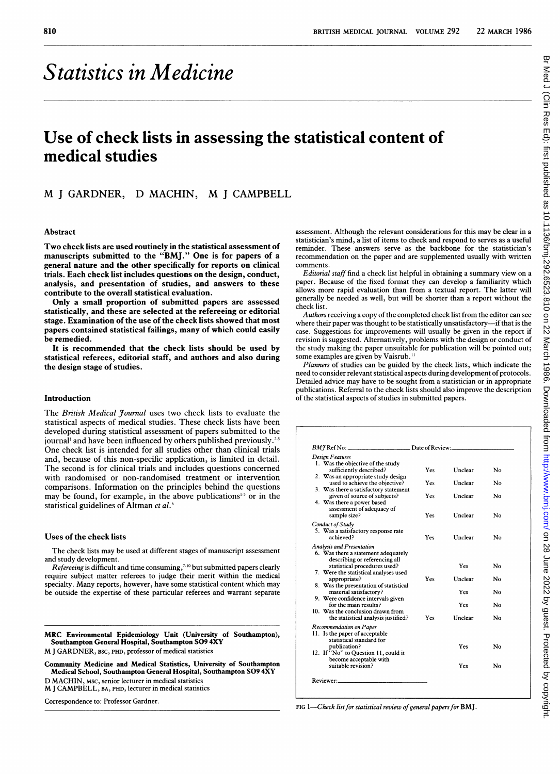# Use of check lists in assessing the statistical content of medical studies

## M <sup>J</sup> GARDNER, D MACHIN, M <sup>J</sup> CAMPBELL

#### Abstract

Two check lists are used routinely in the statistical assessment of manuscripts submitted to the "BMJ." One is for papers of a general nature and the other specifically for reports on clinical trials. Each check list includes questions on the design, conduct, analysis, and presentation of studies, and answers to these contribute to the overall statistical evaluation.

Only a small proportion of submitted papers are assessed statistically, and these are selected at the refereeing or editorial stage. Examination of the use of the check lists showed that most papers contained statistical failings, many of which could easily be remedied.

It is recommended that the check lists should be used by statistical referees, editorial staff, and authors and also during the design stage of studies.

### Introduction

The British Medical Journal uses two check lists to evaluate the statistical aspects of medical studies. These check lists have been developed during statistical assessment of papers submitted to the journal' and have been influenced by others published previously.2'5 One check list is intended for all studies other than clinical trials and, because of this non-specific application, is limited in detail. The second is for clinical trials and includes questions concerned with randomised or non-randomised treatment or intervention comparisons. Information on the principles behind the questions may be found, for example, in the above publications<sup>15</sup> or in the statistical guidelines of Altman et al.<sup>6</sup>

#### Uses of the check lists

The check lists may be used at different stages of manuscript assessment and study development.

 $Refereeing$  is difficult and time consuming, $7^{10}$  but submitted papers clearly require subject matter referees to judge their merit within the medical specialty. Many reports, however, have some statistical content which may be outside the expertise of these particular referees and warrant separate

MRC Environmental Epidemiology Unit (University of Southampton), Southampton General Hospital, Southampton S09 4XY

M <sup>J</sup> GARDNER, BSC, PHD, professor of medical statistics

Community Medicine and Medical Statistics, University of Southampton Medical School, Southampton General Hospital, Southampton S09 4XY D MACHIN, MSC, senior lecturer in medical statistics

M <sup>J</sup> CAMPBELL, BA, PHD, lecturer in medical statistics

Correspondence to: Professor Gardner.

assessment. Although the relevant considerations for this may be clear in <sup>a</sup> statistician's mind, a list of items to check and respond to serves as a useful reminder. These answers serve as the backbone for the statistician's recommendation on the paper and are supplemented usually with written comments.

Editorial staff find <sup>a</sup> check list helpful in obtaining a summary view on a paper. Because of the fixed format they can develop a familiarity which allows more rapid evaluation than from a textual report. The latter will generally be needed as well, but will be shorter than a report without the check list.

Authors receiving a copy of the completed check list from the editor can see where their paper was thought to be statistically unsatisfactory-if that is the case. Suggestions for improvements will usually be given in the report if revision is suggested. Alternatively, problems with the design or conduct of the study making the paper unsuitable for publication will be pointed out; some examples are given by Vaisrub.<sup>11</sup>

Planners of studies can be guided by the check lists, which indicate the need to consider relevant statistical aspects during development of protocols. Detailed advice may have to be sought from <sup>a</sup> statistician or in appropriate publications. Referral to the check lists should also improve the description of the statistical aspects of studies in submitted papers.

| Design Features                                                       |            |                |                |
|-----------------------------------------------------------------------|------------|----------------|----------------|
| 1. Was the objective of the study<br>sufficiently described?          | Yes        | Unclear        | N٥             |
| 2. Was an appropriate study design<br>used to achieve the objective?  | Yes        | Unclear        | No             |
| 3. Was there a satisfactory statement<br>given of source of subjects? | Yes        | Unclear        | No             |
| 4. Was there a power based<br>assessment of adequacy of               |            |                |                |
| sample size?                                                          | <b>Yes</b> | Unclear        | No             |
| Conduct of Study                                                      |            |                |                |
| 5. Was a satisfactory response rate<br>achieved?                      | Yes        | Unclear        | No             |
| <b>Analysis and Presentation</b>                                      |            |                |                |
| 6. Was there a statement adequately                                   |            |                |                |
| describing or referencing all<br>statistical procedures used?         |            | Yes            | No             |
| 7. Were the statistical analyses used                                 |            |                |                |
| appropriate?                                                          | Yes        | Unclear        | N <sub>0</sub> |
| 8. Was the presentation of statistical                                |            |                |                |
| material satisfactory?<br>9. Were confidence intervals given          |            | Yes            | N <sub>0</sub> |
| for the main results?                                                 |            | Yes            | N <sub>0</sub> |
| 10. Was the conclusion drawn from                                     |            |                |                |
| the statistical analysis justified?                                   | Yes        | <b>Unclear</b> | N٥             |
| Recommendation on Paper                                               |            |                |                |
| 11. Is the paper of acceptable<br>statistical standard for            |            |                |                |
| publication?                                                          |            | Yes            | No             |
| 12. If "No" to Question 11, could it                                  |            |                |                |
| become acceptable with                                                |            |                |                |
| suitable revision?                                                    |            | Yes            | No             |

FIG 1-Check list for statistical review of general papers for BMJ.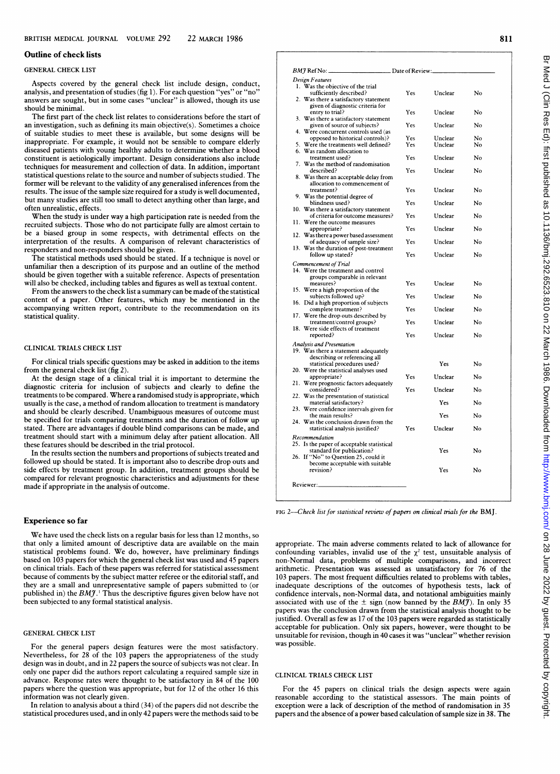#### Outline of check lists

#### GENERAL CHECK LIST

Aspects covered by the general check list include design, conduct, analysis, and presentation of studies (fig 1). For each question "yes" or "no" answers are sought, but in some cases "unclear" is allowed, though its use should be minimal.

The first part of the check list relates to considerations before the start of an investigation, such as defining its main objective $(s)$ . Sometimes a choice of suitable studies to meet these is available, but some designs will be inappropriate. For example, it would not be sensible to compare elderly diseased patients with young healthy adults to determine whether a blood constituent is aetiologically important. Design considerations also include techniques for measurement and collection of data. In addition, important statistical questions relate to the source and number of subjects studied. The former will be relevant to the validity of any generalised inferences from the results. The issue of the sample size required for <sup>a</sup> study is well documented, but many studies are still too small to detect anything other than large, and often unrealistic, effects.

When the study is under way <sup>a</sup> high participation rate is needed from the recruited subjects. Those who do not participate fully are almost certain to be a biased group in some respects, with detrimental effects on the interpretation of the results. A comparison of relevant characteristics of responders and non-responders should be given.

The statistical methods used should be stated. If <sup>a</sup> technique is novel or unfamiliar then a description of its purpose and an outline of the method should be given together with a suitable reference. Aspects of presentation will also be checked, including tables and figures as well as textual content.

From the answers to the check list <sup>a</sup> summary can be made of the statistical content of a paper. Other features, which may be mentioned in the accompanying written report, contribute to the recommendation on its statistical quality.

#### CLINICAL TRIALS CHECK LIST

For clinical trials specific questions may be asked in addition to the items from the general check list (fig 2).

At the design stage of a clinical trial it is important to determine the diagnostic criteria for inclusion of subjects and clearly to define the treatments to be compared. Where a randomised study is appropriate, which usually is the case, a method of random allocation to treatment is mandatory and should be clearly described. Unambiguous measures of outcome must be specified for trials comparing treatments and the duration of follow up stated. There are advantages if double blind comparisons can be made, and treatment should start with <sup>a</sup> minimum delay after patient allocation. All these features should be described in the trial protocol.

In the results section the numbers and proportions of subjects treated and followed up should be stated. It is important also to describe drop outs and side effects by treatment group. In addition, treatment groups should be compared for relevant prognostic characteristics and adjustments for these made if appropriate in the analysis of outcome.

#### Experience so far

We have used the check lists on <sup>a</sup> regular basis for less than <sup>12</sup> months, so that only a limited amount of descriptive data are available on the main statistical problems found. We do, however, have preliminary findings based on 103 papers for which the general check list was used and 45 papers on clinical trials. Each of these papers was referred for statistical assessment because of comments by the subject matter referee or the editorial staff, and they are a small and unrepresentative sample of papers submitted to (or published in) the BM7.' Thus the descriptive figures given below have not been subjected to any formal statistical analysis.

#### GENERAL CHECK LIST

For the general papers design features were the most satisfactory. Nevertheless, for 28 of the 103 papers the appropriateness of the study design was in doubt, and in 22 papers the source of subjects was not clear. In only one paper did the authors report calculating a required sample size in advance. Response rates were thought to be satisfactory in 84 of the 100 papers where the question was appropriate, but for 12 of the other 16 this information was not clearly given.

In relation to analysis about a third (34) of the papers did not describe the statistical procedures used, and in only 42 papers were the methods said to be

| BMI Ref No: _                                                                        | ___ Date of Review:_ |                    |                |
|--------------------------------------------------------------------------------------|----------------------|--------------------|----------------|
| Design Features                                                                      |                      |                    |                |
| 1. Was the objective of the trial                                                    |                      |                    |                |
| sufficiently described?<br>2. Was there a satisfactory statement                     | Yes                  | Unclear            | No             |
| given of diagnostic criteria for<br>entry to trial?                                  | Yes                  | Unclear            | No             |
| 3. Was there a satisfactory statement<br>given of source of subjects?                | Yes                  | Unclear            | No             |
| 4. Were concurrent controls used (as                                                 |                      |                    |                |
| opposed to historical controls)?<br>5. Were the treatments well defined?             | Yes<br>Yes           | Unclear<br>Unclear | No<br>No       |
| 6. Was random allocation to<br>treatment used?                                       | Yes                  | Unclear            | No             |
| 7. Was the method of randomisation<br>described?                                     | Yes                  | Unclear            | No             |
| 8. Was there an acceptable delay from                                                |                      |                    |                |
| allocation to commencement of<br>treatment?                                          | Yes                  | Unclear            | No             |
| 9. Was the potential degree of<br>blindness used?                                    | Yes                  | Unclear            | No             |
| 10. Was there a satisfactory statement<br>of criteria for outcome measures?          | Yes                  | Unclear            | No             |
| 11. Were the outcome measures<br>appropriate?                                        | Yes                  | Unclear            | No             |
| 12. Was there a power based assessment<br>of adequacy of sample size?                | Yes                  | Unclear            | No             |
| 13. Was the duration of post-treatment<br>follow up stated?                          | Yes                  | Unclear            | No             |
| Commencement of Trial                                                                |                      |                    |                |
| 14. Were the treatment and control                                                   |                      |                    |                |
| groups comparable in relevant<br>measures?                                           | Yes                  | Unclear            | No             |
| 15. Were a high proportion of the<br>subjects followed up?                           | Yes                  | Unclear            | No             |
| 16. Did a high proportion of subjects<br>complete treatment?                         | Yes                  | Unclear            | N <sub>0</sub> |
| 17. Were the drop outs described by<br>treatment/control groups?                     | Yes                  | Unclear            | No             |
| 18. Were side effects of treatment<br>reported?                                      | Yes                  | Unclear            | N <sub>0</sub> |
| Analysis and Presentation                                                            |                      |                    |                |
| 19. Was there a statement adequately<br>describing or referencing all                |                      |                    |                |
| statistical procedures used?<br>20. Were the statistical analyses used               |                      | Yes                | No             |
| appropriate?<br>21. Were prognostic factors adequately                               | Yes                  | Unclear            | No             |
| considered?<br>22. Was the presentation of statistical                               | Yes                  | Unclear            | No             |
| material satisfactory?<br>23. Were confidence intervals given for                    |                      | Yes                | No             |
| the main results?<br>24. Was the conclusion drawn from the                           |                      | Yes                | No             |
| statistical analysis justified?                                                      | Yes                  | Unclear            | No             |
| Recommendation                                                                       |                      |                    |                |
| 25. Is the paper of acceptable statistical<br>standard for publication?              |                      | Yes                | No             |
| 26. If "No" to Question 25, could it<br>become acceptable with suitable<br>revision? |                      | Yes                | No             |
|                                                                                      |                      |                    |                |
| Reviewer:_                                                                           |                      |                    |                |

FIG 2--Check list for statistical review of papers on clinical trials for the  $BMI$ .

appropriate. The main adverse comments related to lack of allowance for confounding variables, invalid use of the  $\chi^2$  test, unsuitable analysis of non-Normal data, problems of multiple comparisons, and incorrect arithmetic. Presentation was assessed as unsatisfactory for 76 of the 103 papers. The most frequent difficulties related to problems with tables, inadequate descriptions of the outcomes of hypothesis tests, lack of confidence intervals, non-Normal data, and notational ambiguities mainly associated with use of the  $\pm$  sign (now banned by the  $BM\tilde{f}$ ). In only 35 papers was the conclusion drawn from the statistical analysis thought to be justified. Overall as few as 17 of the 103 papers were regarded as statistically acceptable for publication. Only six papers, however, were thought to be unsuitable for revision, though in 40 cases it was "unclear" whether revision was possible.

#### CLINICAL TRIALS CHECK LIST

For the 45 papers on clinical trials the design aspects were again reasonable according to the statistical assessors. The main points of exception were a lack of description of the method of randomisation in 35 papers and the absence of a power based calculation of sample size in 38. The